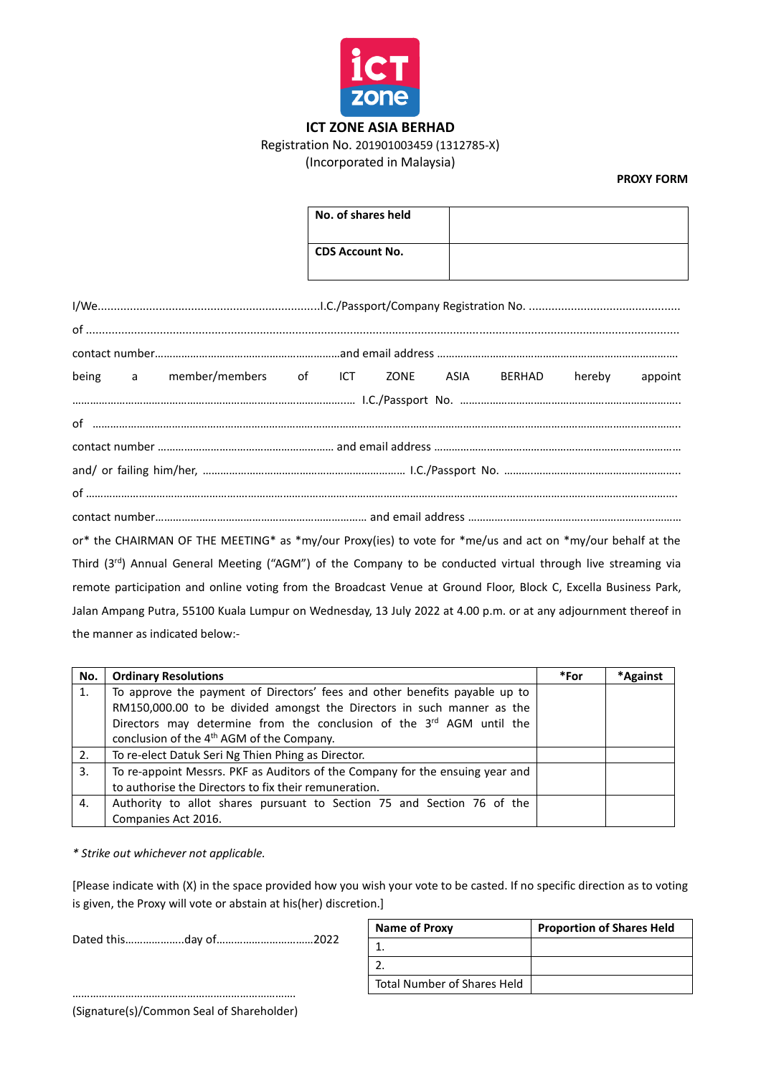

## **ICT ZONE ASIA BERHAD**

## Registration No. 201901003459 (1312785-X)

(Incorporated in Malaysia)

**PROXY FORM**

|                                                                                                                           | No. of shares held     |  |                         |         |
|---------------------------------------------------------------------------------------------------------------------------|------------------------|--|-------------------------|---------|
|                                                                                                                           | <b>CDS Account No.</b> |  |                         |         |
|                                                                                                                           |                        |  |                         |         |
|                                                                                                                           |                        |  |                         |         |
|                                                                                                                           |                        |  |                         |         |
| a member/members of ICT<br>being                                                                                          |                        |  | ZONE ASIA BERHAD hereby | appoint |
|                                                                                                                           |                        |  |                         |         |
|                                                                                                                           |                        |  |                         |         |
|                                                                                                                           |                        |  |                         |         |
|                                                                                                                           |                        |  |                         |         |
|                                                                                                                           |                        |  |                         |         |
|                                                                                                                           |                        |  |                         |         |
| or* the CHAIRMAN OF THE MEETING* as *my/our Proxy(ies) to vote for *me/us and act on *my/our behalf at the                |                        |  |                         |         |
| Third (3 <sup>rd</sup> ) Annual General Meeting ("AGM") of the Company to be conducted virtual through live streaming via |                        |  |                         |         |
| remote participation and online voting from the Broadcast Venue at Ground Floor, Block C, Excella Business Park,          |                        |  |                         |         |

Jalan Ampang Putra, 55100 Kuala Lumpur on Wednesday, 13 July 2022 at 4.00 p.m. or at any adjournment thereof in the manner as indicated below:-

| No. | <b>Ordinary Resolutions</b>                                                   | *For | *Against |
|-----|-------------------------------------------------------------------------------|------|----------|
| 1.  | To approve the payment of Directors' fees and other benefits payable up to    |      |          |
|     | RM150,000.00 to be divided amongst the Directors in such manner as the        |      |          |
|     | Directors may determine from the conclusion of the 3rd AGM until the          |      |          |
|     | conclusion of the 4 <sup>th</sup> AGM of the Company.                         |      |          |
| 2.  | To re-elect Datuk Seri Ng Thien Phing as Director.                            |      |          |
| 3.  | To re-appoint Messrs. PKF as Auditors of the Company for the ensuing year and |      |          |
|     | to authorise the Directors to fix their remuneration.                         |      |          |
| 4.  | Authority to allot shares pursuant to Section 75 and Section 76 of the        |      |          |
|     | Companies Act 2016.                                                           |      |          |

*\* Strike out whichever not applicable.*

[Please indicate with (X) in the space provided how you wish your vote to be casted. If no specific direction as to voting is given, the Proxy will vote or abstain at his(her) discretion.]

Dated this………………..day of……………………………2022

| Name of Proxy               | <b>Proportion of Shares Held</b> |
|-----------------------------|----------------------------------|
|                             |                                  |
|                             |                                  |
| Total Number of Shares Held |                                  |

…………………………………………………………………. (Signature(s)/Common Seal of Shareholder)